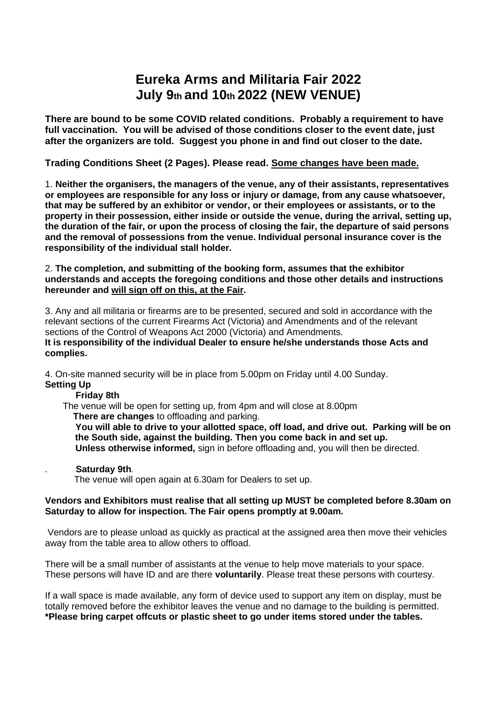# **Eureka Arms and Militaria Fair 2022 July 9th and 10th 2022 (NEW VENUE)**

**There are bound to be some COVID related conditions. Probably a requirement to have full vaccination. You will be advised of those conditions closer to the event date, just after the organizers are told. Suggest you phone in and find out closer to the date.**

## **Trading Conditions Sheet (2 Pages). Please read. Some changes have been made.**

1. **Neither the organisers, the managers of the venue, any of their assistants, representatives or employees are responsible for any loss or injury or damage, from any cause whatsoever, that may be suffered by an exhibitor or vendor, or their employees or assistants, or to the property in their possession, either inside or outside the venue, during the arrival, setting up, the duration of the fair, or upon the process of closing the fair, the departure of said persons and the removal of possessions from the venue. Individual personal insurance cover is the responsibility of the individual stall holder.** 

#### 2. **The completion, and submitting of the booking form, assumes that the exhibitor understands and accepts the foregoing conditions and those other details and instructions hereunder and will sign off on this, at the Fair.**

3. Any and all militaria or firearms are to be presented, secured and sold in accordance with the relevant sections of the current Firearms Act (Victoria) and Amendments and of the relevant sections of the Control of Weapons Act 2000 (Victoria) and Amendments. **It is responsibility of the individual Dealer to ensure he/she understands those Acts and complies.** 

4. On-site manned security will be in place from 5.00pm on Friday until 4.00 Sunday. **Setting Up**

## **Friday 8th**

The venue will be open for setting up, from 4pm and will close at 8.00pm  **There are changes** to offloading and parking.

 **You will able to drive to your allotted space, off load, and drive out. Parking will be on the South side, against the building. Then you come back in and set up.**

 **Unless otherwise informed,** sign in before offloading and, you will then be directed.

## . **Saturday 9th.**

The venue will open again at 6.30am for Dealers to set up.

#### **Vendors and Exhibitors must realise that all setting up MUST be completed before 8.30am on Saturday to allow for inspection. The Fair opens promptly at 9.00am.**

Vendors are to please unload as quickly as practical at the assigned area then move their vehicles away from the table area to allow others to offload.

There will be a small number of assistants at the venue to help move materials to your space. These persons will have ID and are there **voluntarily**. Please treat these persons with courtesy.

If a wall space is made available, any form of device used to support any item on display, must be totally removed before the exhibitor leaves the venue and no damage to the building is permitted. **\*Please bring carpet offcuts or plastic sheet to go under items stored under the tables.**